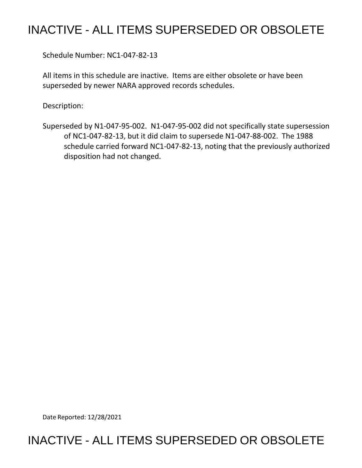## INACTIVE - ALL ITEMS SUPERSEDED OR OBSOLETE

Schedule Number: NC1-047-82-13

 All items in this schedule are inactive. Items are either obsolete or have been superseded by newer NARA approved records schedules.

Description:

 of NC1-047-82-13, but it did claim to supersede N1-047-88-002. The 1988 schedule carried forward NC1-047-82-13, noting that the previously authorized disposition had not changed. Superseded by N1-047-95-002. N1-047-95-002 did not specifically state supersession

Date Reported: 12/28/2021

## INACTIVE - ALL ITEMS SUPERSEDED OR OBSOLETE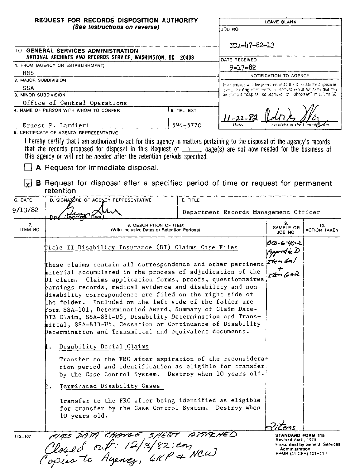|                      | REQUEST FOR RECORDS DISPOSITION AUTHORITY                                                                                                                                                                                                                                                                                                                                                                                                                                                                                                                                                                                                                    |                                                                                                                                               |                                                                 | <b>LEAVE BLANK</b>                   |  |
|----------------------|--------------------------------------------------------------------------------------------------------------------------------------------------------------------------------------------------------------------------------------------------------------------------------------------------------------------------------------------------------------------------------------------------------------------------------------------------------------------------------------------------------------------------------------------------------------------------------------------------------------------------------------------------------------|-----------------------------------------------------------------------------------------------------------------------------------------------|-----------------------------------------------------------------|--------------------------------------|--|
|                      | (See Instructions on reverse)                                                                                                                                                                                                                                                                                                                                                                                                                                                                                                                                                                                                                                |                                                                                                                                               | JOB NO                                                          |                                      |  |
|                      |                                                                                                                                                                                                                                                                                                                                                                                                                                                                                                                                                                                                                                                              |                                                                                                                                               |                                                                 |                                      |  |
|                      | TO: GENERAL SERVICES ADMINISTRATION,                                                                                                                                                                                                                                                                                                                                                                                                                                                                                                                                                                                                                         |                                                                                                                                               | $NCL - 47 - 82 - 13$                                            |                                      |  |
|                      | NATIONAL ARCHIVES AND RECORDS SERVICE, WASHINGTON, DC 20408<br>1. FROM (AGENCY OR ESTABLISHMENT)                                                                                                                                                                                                                                                                                                                                                                                                                                                                                                                                                             |                                                                                                                                               | DATE RECEIVED                                                   |                                      |  |
| HHS                  |                                                                                                                                                                                                                                                                                                                                                                                                                                                                                                                                                                                                                                                              |                                                                                                                                               | $9 - 17 - 82$                                                   |                                      |  |
| 2. MAJOR SUBDIVISION |                                                                                                                                                                                                                                                                                                                                                                                                                                                                                                                                                                                                                                                              |                                                                                                                                               |                                                                 | NOTIFICATION TO AGENCY               |  |
| <b>SSA</b>           |                                                                                                                                                                                                                                                                                                                                                                                                                                                                                                                                                                                                                                                              | In a riordance with the privile ons of $44.0$ S.C. 3303a the disposalite.<br>clest, holding amendments, is approved except for items that may |                                                                 |                                      |  |
| 3. MINOR SUBDIVISION |                                                                                                                                                                                                                                                                                                                                                                                                                                                                                                                                                                                                                                                              |                                                                                                                                               | be stomped "dispusal not epproved" or "withdrawn" in cultima 10 |                                      |  |
|                      | Office of Central Operations                                                                                                                                                                                                                                                                                                                                                                                                                                                                                                                                                                                                                                 |                                                                                                                                               |                                                                 |                                      |  |
|                      | 4. NAME OF PERSON WITH WHOM TO CONFER                                                                                                                                                                                                                                                                                                                                                                                                                                                                                                                                                                                                                        | 5. TEL. EXT.                                                                                                                                  |                                                                 |                                      |  |
|                      |                                                                                                                                                                                                                                                                                                                                                                                                                                                                                                                                                                                                                                                              |                                                                                                                                               | $1 - 22 - 84$<br>Date.                                          |                                      |  |
|                      | Ernest P. Lardieri<br>6. CERTIFICATE OF AGENCY REPRESENTATIVE                                                                                                                                                                                                                                                                                                                                                                                                                                                                                                                                                                                                | 594-5770                                                                                                                                      |                                                                 |                                      |  |
| لعا                  | that the records proposed for disposal in this Request of $1$ , page(s) are not now needed for the business of<br>this agency or will not be needed after the retention periods specified.<br>A Request for immediate disposal.<br><b>B</b> Request for disposal after a specified period of time or request for permanent<br>retention.                                                                                                                                                                                                                                                                                                                     |                                                                                                                                               |                                                                 |                                      |  |
| C. DATE              | D. SIGNATURE OF AGENCY REPRESENTATIVE                                                                                                                                                                                                                                                                                                                                                                                                                                                                                                                                                                                                                        | E. TITLE                                                                                                                                      |                                                                 |                                      |  |
|                      |                                                                                                                                                                                                                                                                                                                                                                                                                                                                                                                                                                                                                                                              |                                                                                                                                               |                                                                 |                                      |  |
| 9/13/82              |                                                                                                                                                                                                                                                                                                                                                                                                                                                                                                                                                                                                                                                              |                                                                                                                                               | Department Records Management Officer                           |                                      |  |
| 7.<br>ITEM NO.       | 8. DESCRIPTION OF ITEM<br>(With Inclusive Dates or Retention Periods)                                                                                                                                                                                                                                                                                                                                                                                                                                                                                                                                                                                        |                                                                                                                                               | 9.<br>SAMPLE OR<br><b>JOB NO</b>                                | 10.<br><b>ACTION TAKEN</b>           |  |
|                      | ‡icle II Disability Insurance (DI) Claims Case Files                                                                                                                                                                                                                                                                                                                                                                                                                                                                                                                                                                                                         |                                                                                                                                               |                                                                 | 000-6-40-2<br>Appendix D<br>Item Gal |  |
|                      | These claims contain all correspondence and other pertinent<br>material accumulated in the process of adjudication of the<br>pI claim. Claims application forms, proofs, questionnaires<br>earnings records, medical evidence and disability and non-<br>disability correspondence are filed on the right side of<br>the folder. Included on the left side of the folder are<br>Form SSA-101, Determination Award, Summary of Claim Date-<br>DIB Claim, SSA-831-U5, Disability Determination and Trans-<br>mittal, SSA-833-U5, Cessation or Continuance of Disability<br>Determination and Transmittal and equivalent documents.<br>Disability Denial Claims |                                                                                                                                               |                                                                 | $T$ tom (prod                        |  |
|                      | Transfer to the FRC after expiration of the reconsidera-<br>tion period and identification as eligible for transfer<br>by the Case Control System. Destroy when 10 years old.<br>Terminated Disability Cases<br>2.<br>Transfer to the FRC after being identified as eligible<br>for transfer by the Case Control System. Destroy when                                                                                                                                                                                                                                                                                                                        |                                                                                                                                               |                                                                 |                                      |  |
|                      | 10 years old.                                                                                                                                                                                                                                                                                                                                                                                                                                                                                                                                                                                                                                                |                                                                                                                                               |                                                                 |                                      |  |